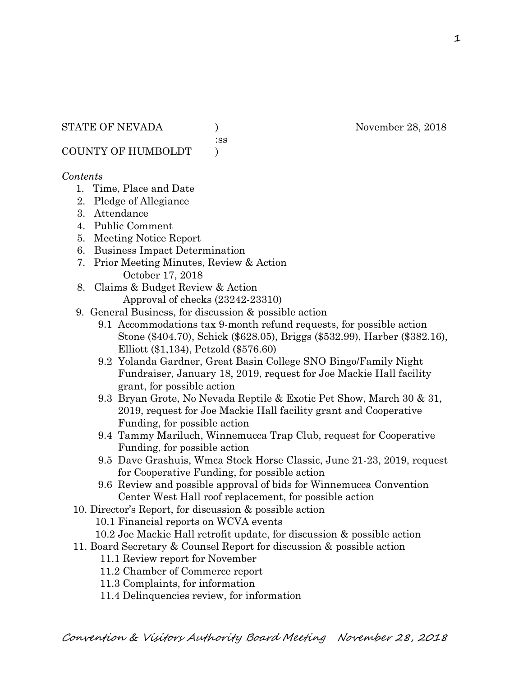:ss

COUNTY OF HUMBOLDT )

## *Contents*

- 1. Time, Place and Date
- 2. Pledge of Allegiance
- 3. Attendance
- 4. Public Comment
- 5. Meeting Notice Report
- 6. Business Impact Determination
- 7. Prior Meeting Minutes, Review & Action October 17, 2018
- 8. Claims & Budget Review & Action
	- Approval of checks (23242-23310)
- 9. General Business, for discussion & possible action
	- 9.1 Accommodations tax 9-month refund requests, for possible action Stone (\$404.70), Schick (\$628.05), Briggs (\$532.99), Harber (\$382.16), Elliott (\$1,134), Petzold (\$576.60)
	- 9.2 Yolanda Gardner, Great Basin College SNO Bingo/Family Night Fundraiser, January 18, 2019, request for Joe Mackie Hall facility grant, for possible action
	- 9.3 Bryan Grote, No Nevada Reptile & Exotic Pet Show, March 30 & 31, 2019, request for Joe Mackie Hall facility grant and Cooperative Funding, for possible action
	- 9.4 Tammy Mariluch, Winnemucca Trap Club, request for Cooperative Funding, for possible action
	- 9.5 Dave Grashuis, Wmca Stock Horse Classic, June 21-23, 2019, request for Cooperative Funding, for possible action
	- 9.6 Review and possible approval of bids for Winnemucca Convention Center West Hall roof replacement, for possible action
- 10. Director's Report, for discussion & possible action
	- 10.1 Financial reports on WCVA events
- 10.2 Joe Mackie Hall retrofit update, for discussion & possible action
- 11. Board Secretary & Counsel Report for discussion & possible action
	- 11.1 Review report for November
	- 11.2 Chamber of Commerce report
	- 11.3 Complaints, for information
	- 11.4 Delinquencies review, for information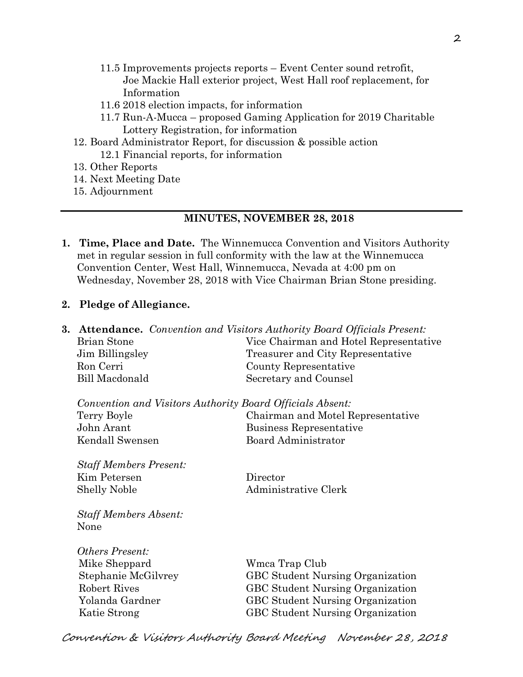- 11.5 Improvements projects reports Event Center sound retrofit, Joe Mackie Hall exterior project, West Hall roof replacement, for Information
- 11.6 2018 election impacts, for information
- 11.7 Run-A-Mucca proposed Gaming Application for 2019 Charitable Lottery Registration, for information
- 12. Board Administrator Report, for discussion & possible action 12.1 Financial reports, for information
- 13. Other Reports
- 14. Next Meeting Date
- 15. Adjournment

### **MINUTES, NOVEMBER 28, 2018**

- **1. Time, Place and Date.** The Winnemucca Convention and Visitors Authority met in regular session in full conformity with the law at the Winnemucca Convention Center, West Hall, Winnemucca, Nevada at 4:00 pm on Wednesday, November 28, 2018 with Vice Chairman Brian Stone presiding.
- **2. Pledge of Allegiance.**

| 3. |                                                           | <b>Attendance.</b> Convention and Visitors Authority Board Officials Present: |  |
|----|-----------------------------------------------------------|-------------------------------------------------------------------------------|--|
|    | <b>Brian Stone</b>                                        | Vice Chairman and Hotel Representative                                        |  |
|    | Jim Billingsley                                           | Treasurer and City Representative                                             |  |
|    | Ron Cerri                                                 | County Representative                                                         |  |
|    | <b>Bill Macdonald</b>                                     | Secretary and Counsel                                                         |  |
|    | Convention and Visitors Authority Board Officials Absent: |                                                                               |  |
|    | Terry Boyle                                               | Chairman and Motel Representative                                             |  |
|    | John Arant                                                | Business Representative                                                       |  |
|    | Kendall Swensen                                           | <b>Board Administrator</b>                                                    |  |
|    | <b>Staff Members Present:</b>                             |                                                                               |  |
|    | Kim Petersen                                              | Director                                                                      |  |
|    | <b>Shelly Noble</b>                                       | Administrative Clerk                                                          |  |
|    | <b>Staff Members Absent:</b>                              |                                                                               |  |
|    | None                                                      |                                                                               |  |
|    | <i><b>Others Present:</b></i>                             |                                                                               |  |
|    | Mike Sheppard                                             | Wmca Trap Club                                                                |  |
|    | Stephanie McGilvrey                                       | <b>GBC</b> Student Nursing Organization                                       |  |
|    | <b>Robert Rives</b>                                       | <b>GBC Student Nursing Organization</b>                                       |  |
|    | Yolanda Gardner                                           | <b>GBC Student Nursing Organization</b>                                       |  |
|    | Katie Strong                                              | <b>GBC Student Nursing Organization</b>                                       |  |
|    |                                                           |                                                                               |  |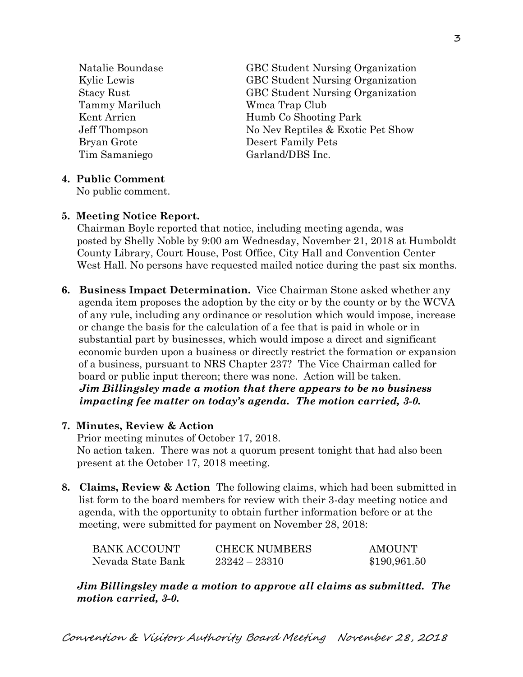Tammy Mariluch Wmca Trap Club Bryan Grote Desert Family Pets Tim Samaniego Garland/DBS Inc.

 Natalie Boundase GBC Student Nursing Organization Kylie Lewis GBC Student Nursing Organization Stacy Rust GBC Student Nursing Organization Kent Arrien Humb Co Shooting Park Jeff Thompson No Nev Reptiles & Exotic Pet Show

### **4. Public Comment**

No public comment.

### **5. Meeting Notice Report.**

Chairman Boyle reported that notice, including meeting agenda, was posted by Shelly Noble by 9:00 am Wednesday, November 21, 2018 at Humboldt County Library, Court House, Post Office, City Hall and Convention Center West Hall. No persons have requested mailed notice during the past six months.

**6. Business Impact Determination.** Vice Chairman Stone asked whether any agenda item proposes the adoption by the city or by the county or by the WCVA of any rule, including any ordinance or resolution which would impose, increase or change the basis for the calculation of a fee that is paid in whole or in substantial part by businesses, which would impose a direct and significant economic burden upon a business or directly restrict the formation or expansion of a business, pursuant to NRS Chapter 237? The Vice Chairman called for board or public input thereon; there was none. Action will be taken.  *Jim Billingsley made a motion that there appears to be no business impacting fee matter on today's agenda. The motion carried, 3-0.* 

### **7. Minutes, Review & Action**

Prior meeting minutes of October 17, 2018. No action taken. There was not a quorum present tonight that had also been present at the October 17, 2018 meeting.

**8. Claims, Review & Action** The following claims, which had been submitted in list form to the board members for review with their 3-day meeting notice and agenda, with the opportunity to obtain further information before or at the meeting, were submitted for payment on November 28, 2018:

| BANK ACCOUNT      | <b>CHECK NUMBERS</b> | AMOUNT       |
|-------------------|----------------------|--------------|
| Nevada State Bank | $23242 - 23310$      | \$190,961.50 |

*Jim Billingsley made a motion to approve all claims as submitted. The motion carried, 3-0.*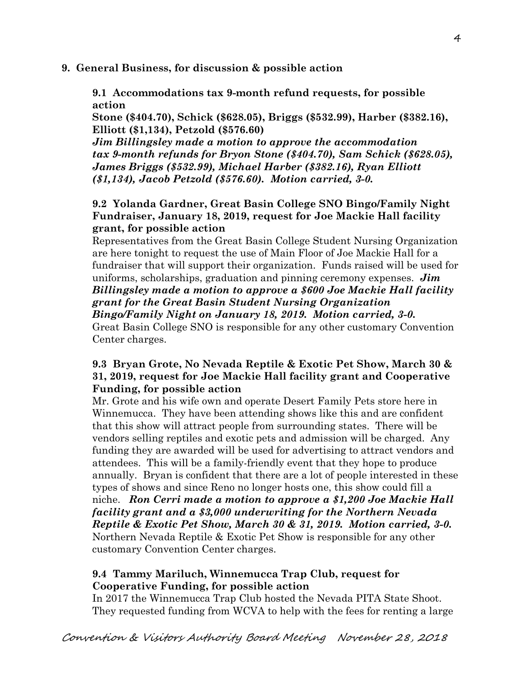## **9. General Business, for discussion & possible action**

**9.1 Accommodations tax 9-month refund requests, for possible action** 

**Stone (\$404.70), Schick (\$628.05), Briggs (\$532.99), Harber (\$382.16), Elliott (\$1,134), Petzold (\$576.60)** 

*Jim Billingsley made a motion to approve the accommodation tax 9-month refunds for Bryon Stone (\$404.70), Sam Schick (\$628.05), James Briggs (\$532.99), Michael Harber (\$382.16), Ryan Elliott (\$1,134), Jacob Petzold (\$576.60). Motion carried, 3-0.*

# **9.2 Yolanda Gardner, Great Basin College SNO Bingo/Family Night Fundraiser, January 18, 2019, request for Joe Mackie Hall facility grant, for possible action**

Representatives from the Great Basin College Student Nursing Organization are here tonight to request the use of Main Floor of Joe Mackie Hall for a fundraiser that will support their organization. Funds raised will be used for uniforms, scholarships, graduation and pinning ceremony expenses. *Jim Billingsley made a motion to approve a \$600 Joe Mackie Hall facility grant for the Great Basin Student Nursing Organization Bingo/Family Night on January 18, 2019. Motion carried, 3-0.*  Great Basin College SNO is responsible for any other customary Convention Center charges.

# **9.3 Bryan Grote, No Nevada Reptile & Exotic Pet Show, March 30 & 31, 2019, request for Joe Mackie Hall facility grant and Cooperative Funding, for possible action**

Mr. Grote and his wife own and operate Desert Family Pets store here in Winnemucca. They have been attending shows like this and are confident that this show will attract people from surrounding states. There will be vendors selling reptiles and exotic pets and admission will be charged. Any funding they are awarded will be used for advertising to attract vendors and attendees. This will be a family-friendly event that they hope to produce annually. Bryan is confident that there are a lot of people interested in these types of shows and since Reno no longer hosts one, this show could fill a niche. *Ron Cerri made a motion to approve a \$1,200 Joe Mackie Hall facility grant and a \$3,000 underwriting for the Northern Nevada Reptile & Exotic Pet Show, March 30 & 31, 2019. Motion carried, 3-0.*  Northern Nevada Reptile & Exotic Pet Show is responsible for any other customary Convention Center charges.

# **9.4 Tammy Mariluch, Winnemucca Trap Club, request for Cooperative Funding, for possible action**

In 2017 the Winnemucca Trap Club hosted the Nevada PITA State Shoot. They requested funding from WCVA to help with the fees for renting a large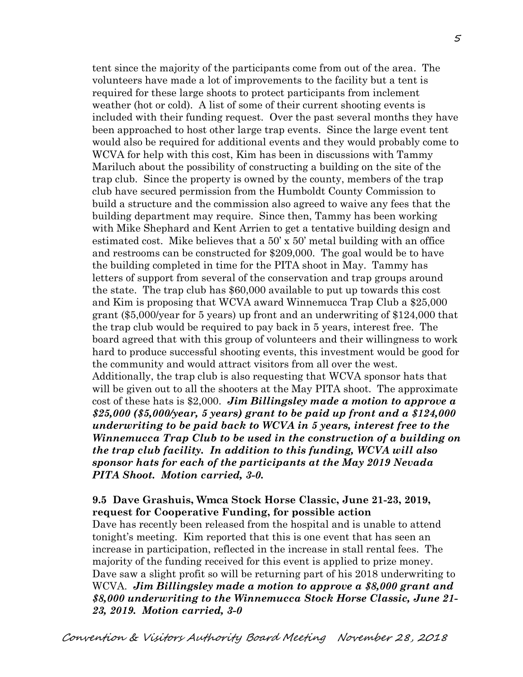tent since the majority of the participants come from out of the area. The volunteers have made a lot of improvements to the facility but a tent is required for these large shoots to protect participants from inclement weather (hot or cold). A list of some of their current shooting events is included with their funding request. Over the past several months they have been approached to host other large trap events. Since the large event tent would also be required for additional events and they would probably come to WCVA for help with this cost, Kim has been in discussions with Tammy Mariluch about the possibility of constructing a building on the site of the trap club. Since the property is owned by the county, members of the trap club have secured permission from the Humboldt County Commission to build a structure and the commission also agreed to waive any fees that the building department may require. Since then, Tammy has been working with Mike Shephard and Kent Arrien to get a tentative building design and estimated cost. Mike believes that a  $50' \times 50'$  metal building with an office and restrooms can be constructed for \$209,000. The goal would be to have the building completed in time for the PITA shoot in May. Tammy has letters of support from several of the conservation and trap groups around the state. The trap club has \$60,000 available to put up towards this cost and Kim is proposing that WCVA award Winnemucca Trap Club a \$25,000 grant (\$5,000/year for 5 years) up front and an underwriting of \$124,000 that the trap club would be required to pay back in 5 years, interest free. The board agreed that with this group of volunteers and their willingness to work hard to produce successful shooting events, this investment would be good for the community and would attract visitors from all over the west. Additionally, the trap club is also requesting that WCVA sponsor hats that will be given out to all the shooters at the May PITA shoot. The approximate cost of these hats is \$2,000. *Jim Billingsley made a motion to approve a \$25,000 (\$5,000/year, 5 years) grant to be paid up front and a \$124,000 underwriting to be paid back to WCVA in 5 years, interest free to the Winnemucca Trap Club to be used in the construction of a building on the trap club facility. In addition to this funding, WCVA will also sponsor hats for each of the participants at the May 2019 Nevada PITA Shoot. Motion carried, 3-0.*

### **9.5 Dave Grashuis, Wmca Stock Horse Classic, June 21-23, 2019, request for Cooperative Funding, for possible action**

Dave has recently been released from the hospital and is unable to attend tonight's meeting. Kim reported that this is one event that has seen an increase in participation, reflected in the increase in stall rental fees. The majority of the funding received for this event is applied to prize money. Dave saw a slight profit so will be returning part of his 2018 underwriting to WCVA. *Jim Billingsley made a motion to approve a \$8,000 grant and \$8,000 underwriting to the Winnemucca Stock Horse Classic, June 21- 23, 2019. Motion carried, 3-0*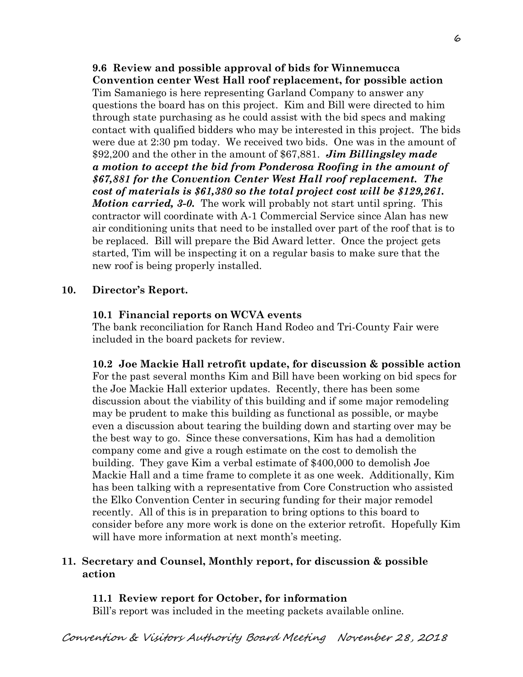**9.6 Review and possible approval of bids for Winnemucca Convention center West Hall roof replacement, for possible action**  Tim Samaniego is here representing Garland Company to answer any questions the board has on this project. Kim and Bill were directed to him through state purchasing as he could assist with the bid specs and making contact with qualified bidders who may be interested in this project. The bids were due at 2:30 pm today. We received two bids. One was in the amount of \$92,200 and the other in the amount of \$67,881. *Jim Billingsley made a motion to accept the bid from Ponderosa Roofing in the amount of \$67,881 for the Convention Center West Hall roof replacement. The cost of materials is \$61,380 so the total project cost will be \$129,261. Motion carried, 3-0.* The work will probably not start until spring. This contractor will coordinate with A-1 Commercial Service since Alan has new air conditioning units that need to be installed over part of the roof that is to be replaced. Bill will prepare the Bid Award letter. Once the project gets started, Tim will be inspecting it on a regular basis to make sure that the new roof is being properly installed.

## **10. Director's Report.**

## **10.1 Financial reports on WCVA events**

The bank reconciliation for Ranch Hand Rodeo and Tri-County Fair were included in the board packets for review.

**10.2 Joe Mackie Hall retrofit update, for discussion & possible action**  For the past several months Kim and Bill have been working on bid specs for the Joe Mackie Hall exterior updates. Recently, there has been some discussion about the viability of this building and if some major remodeling may be prudent to make this building as functional as possible, or maybe even a discussion about tearing the building down and starting over may be the best way to go. Since these conversations, Kim has had a demolition company come and give a rough estimate on the cost to demolish the building. They gave Kim a verbal estimate of \$400,000 to demolish Joe Mackie Hall and a time frame to complete it as one week. Additionally, Kim has been talking with a representative from Core Construction who assisted the Elko Convention Center in securing funding for their major remodel recently. All of this is in preparation to bring options to this board to consider before any more work is done on the exterior retrofit. Hopefully Kim will have more information at next month's meeting.

## **11. Secretary and Counsel, Monthly report, for discussion & possible action**

# **11.1 Review report for October, for information**

Bill's report was included in the meeting packets available online.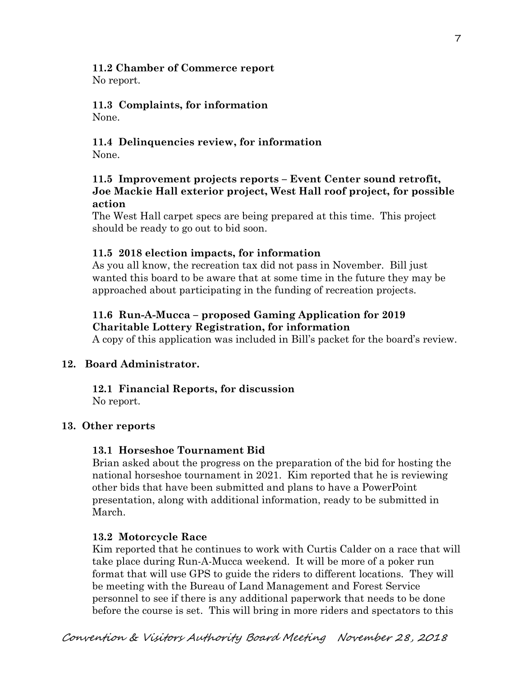# **11.2 Chamber of Commerce report**

No report.

# **11.3 Complaints, for information**

None.

## **11.4 Delinquencies review, for information**  None.

## **11.5 Improvement projects reports – Event Center sound retrofit, Joe Mackie Hall exterior project, West Hall roof project, for possible action**

The West Hall carpet specs are being prepared at this time. This project should be ready to go out to bid soon.

# **11.5 2018 election impacts, for information**

As you all know, the recreation tax did not pass in November. Bill just wanted this board to be aware that at some time in the future they may be approached about participating in the funding of recreation projects.

## **11.6 Run-A-Mucca – proposed Gaming Application for 2019 Charitable Lottery Registration, for information**

A copy of this application was included in Bill's packet for the board's review.

# **12. Board Administrator.**

# **12.1 Financial Reports, for discussion**

No report.

# **13. Other reports**

## **13.1 Horseshoe Tournament Bid**

Brian asked about the progress on the preparation of the bid for hosting the national horseshoe tournament in 2021. Kim reported that he is reviewing other bids that have been submitted and plans to have a PowerPoint presentation, along with additional information, ready to be submitted in March.

## **13.2 Motorcycle Race**

Kim reported that he continues to work with Curtis Calder on a race that will take place during Run-A-Mucca weekend. It will be more of a poker run format that will use GPS to guide the riders to different locations. They will be meeting with the Bureau of Land Management and Forest Service personnel to see if there is any additional paperwork that needs to be done before the course is set. This will bring in more riders and spectators to this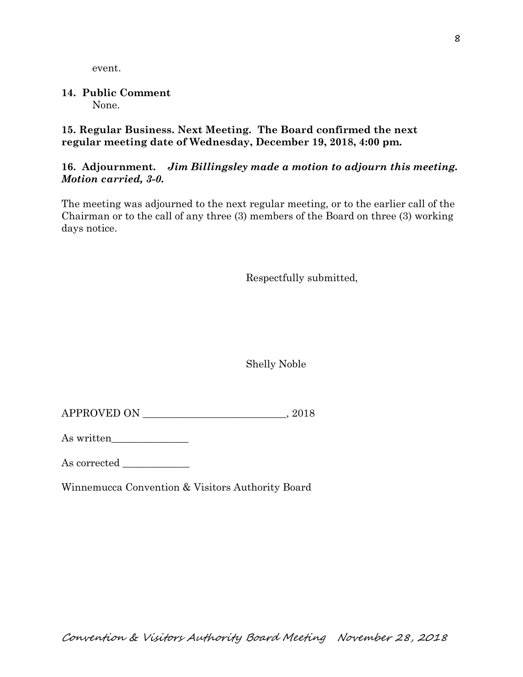event.

### **14. Public Comment**  None.

**15. Regular Business. Next Meeting. The Board confirmed the next regular meeting date of Wednesday, December 19, 2018, 4:00 pm.** 

# **16. Adjournment.** *Jim Billingsley made a motion to adjourn this meeting. Motion carried, 3-0.*

The meeting was adjourned to the next regular meeting, or to the earlier call of the Chairman or to the call of any three (3) members of the Board on three (3) working days notice.

Respectfully submitted,

Shelly Noble

| APPROVED ON<br>2018 |  |
|---------------------|--|
|---------------------|--|

As written\_\_\_\_\_\_\_\_\_\_\_\_\_\_\_

As corrected

Winnemucca Convention & Visitors Authority Board